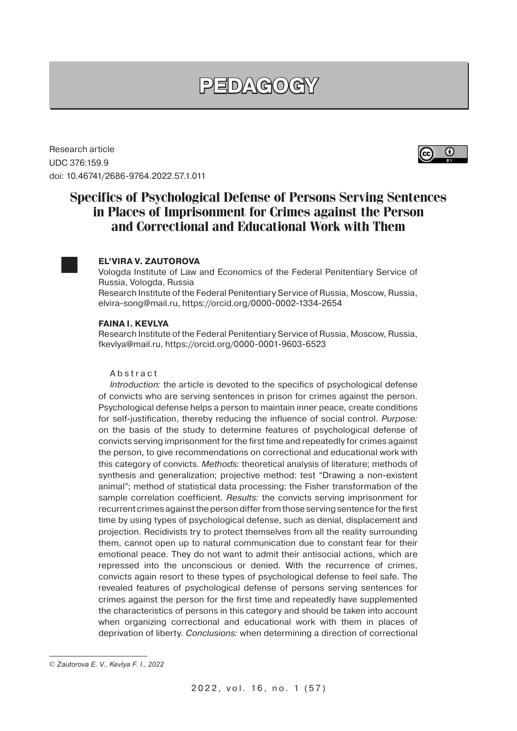# **PEDAGOGY**

Research article UDC 376:159.9 doi: 10.46741/2686-9764.2022.57.1.011



# **Specifics of Psychological Defense of Persons Serving Sentences in Places of Imprisonment for Crimes against the Person and Correctional and Educational Work with Them**

## **EL'VIRA V. ZAUTOROVA**

Vologda Institute of Law and Economics of the Federal Penitentiary Service of Russia, Vologda, Russia

Research Institute of the Federal Penitentiary Service of Russia, Moscow, Russia, elvira-song@mail.ru, https://orcid.org/0000-0002-1334-2654

#### **FAINA I. KEVLYA**

Research Institute of the Federal Penitentiary Service of Russia, Moscow, Russia, fkevlya@mail.ru, https://orcid.org/0000-0001-9603-6523

### Abstract

Introduction: the article is devoted to the specifics of psychological defense of convicts who are serving sentences in prison for crimes against the person. Psychological defense helps a person to maintain inner peace, create conditions for self-justification, thereby reducing the influence of social control. Purpose: on the basis of the study to determine features of psychological defense of convicts serving imprisonment for the first time and repeatedly for crimes against the person, to give recommendations on correctional and educational work with this category of convicts. Methods: theoretical analysis of literature; methods of synthesis and generalization; projective method: test "Drawing a non-existent animal"; method of statistical data processing: the Fisher transformation of the sample correlation coefficient. Results: the convicts serving imprisonment for recurrent crimes against the person differ from those serving sentence for the first time by using types of psychological defense, such as denial, displacement and projection. Recidivists try to protect themselves from all the reality surrounding them, cannot open up to natural communication due to constant fear for their emotional peace. They do not want to admit their antisocial actions, which are repressed into the unconscious or denied. With the recurrence of crimes, convicts again resort to these types of psychological defense to feel safe. The revealed features of psychological defense of persons serving sentences for crimes against the person for the first time and repeatedly have supplemented the characteristics of persons in this category and should be taken into account when organizing correctional and educational work with them in places of deprivation of liberty. Conclusions: when determining a direction of correctional

<sup>©</sup> *Zautorova E. V., Kevlya F. I., 2022*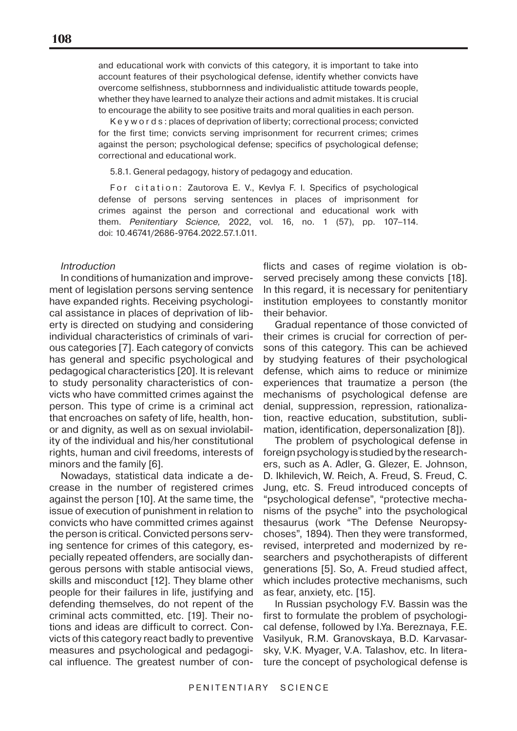and educational work with convicts of this category, it is important to take into account features of their psychological defense, identify whether convicts have overcome selfishness, stubbornness and individualistic attitude towards people, whether they have learned to analyze their actions and admit mistakes. It is crucial to encourage the ability to see positive traits and moral qualities in each person.

K e y w o r d s : places of deprivation of liberty; correctional process; convicted for the first time; convicts serving imprisonment for recurrent crimes; crimes against the person; psychological defense; specifics of psychological defense; correctional and educational work.

5.8.1. General pedagogy, history of pedagogy and education.

For citation: Zautorova E. V., Kevlya F. I. Specifics of psychological defense of persons serving sentences in places of imprisonment for crimes against the person and correctional and educational work with them. Penitentiary Science, 2022, vol. 16, no. 1 (57), pp. 107–114. doi: 10.46741/2686-9764.2022.57.1.011.

#### **Introduction**

In conditions of humanization and improvement of legislation persons serving sentence have expanded rights. Receiving psychological assistance in places of deprivation of liberty is directed on studying and considering individual characteristics of criminals of various categories [7]. Each category of convicts has general and specific psychological and pedagogical characteristics [20]. It is relevant to study personality characteristics of convicts who have committed crimes against the person. This type of crime is a criminal act that encroaches on safety of life, health, honor and dignity, as well as on sexual inviolability of the individual and his/her constitutional rights, human and civil freedoms, interests of minors and the family [6].

Nowadays, statistical data indicate a decrease in the number of registered crimes against the person [10]. At the same time, the issue of execution of punishment in relation to convicts who have committed crimes against the person is critical. Convicted persons serving sentence for crimes of this category, especially repeated offenders, are socially dangerous persons with stable antisocial views, skills and misconduct [12]. They blame other people for their failures in life, justifying and defending themselves, do not repent of the criminal acts committed, etc. [19]. Their notions and ideas are difficult to correct. Convicts of this category react badly to preventive measures and psychological and pedagogical influence. The greatest number of con-

flicts and cases of regime violation is observed precisely among these convicts [18]. In this regard, it is necessary for penitentiary institution employees to constantly monitor their behavior.

Gradual repentance of those convicted of their crimes is crucial for correction of persons of this category. This can be achieved by studying features of their psychological defense, which aims to reduce or minimize experiences that traumatize a person (the mechanisms of psychological defense are denial, suppression, repression, rationalization, reactive education, substitution, sublimation, identification, depersonalization [8]).

The problem of psychological defense in foreign psychology is studied by the researchers, such as A. Adler, G. Glezer, E. Johnson, D. Ikhilevich, W. Reich, A. Freud, S. Freud, C. Jung, etc. S. Freud introduced concepts of "psychological defense", "protective mechanisms of the psyche" into the psychological thesaurus (work "The Defense Neuropsychoses", 1894). Then they were transformed, revised, interpreted and modernized by researchers and psychotherapists of different generations [5]. So, A. Freud studied affect, which includes protective mechanisms, such as fear, anxiety, etc. [15].

In Russian psychology F.V. Bassin was the first to formulate the problem of psychological defense, followed by I.Ya. Bereznaya, F.E. Vasilyuk, R.M. Granovskaya, B.D. Karvasarsky, V.K. Myager, V.A. Talashov, etc. In literature the concept of psychological defense is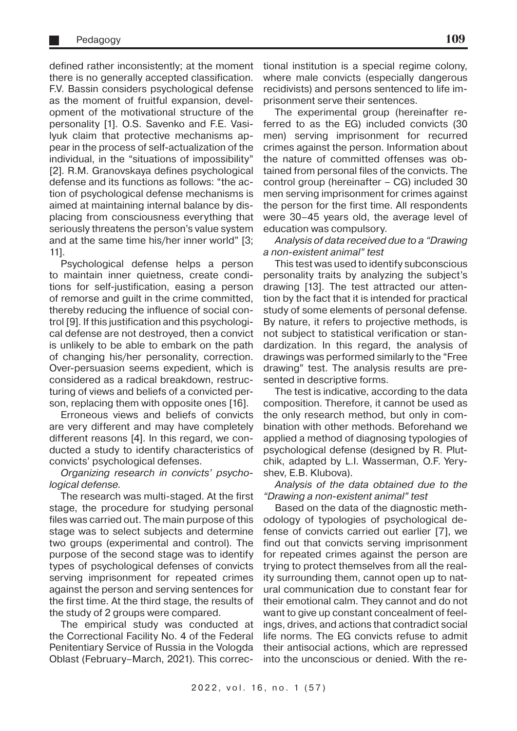defined rather inconsistently; at the moment there is no generally accepted classification. F.V. Bassin considers psychological defense as the moment of fruitful expansion, development of the motivational structure of the personality [1]. O.S. Savenko and F.E. Vasilyuk claim that protective mechanisms appear in the process of self-actualization of the individual, in the "situations of impossibility" [2]. R.M. Granovskaya defines psychological defense and its functions as follows: "the action of psychological defense mechanisms is aimed at maintaining internal balance by displacing from consciousness everything that seriously threatens the person's value system and at the same time his/her inner world" [3; 11].

Psychological defense helps a person to maintain inner quietness, create conditions for self-justification, easing a person of remorse and guilt in the crime committed, thereby reducing the influence of social control [9]. If this justification and this psychological defense are not destroyed, then a convict is unlikely to be able to embark on the path of changing his/her personality, correction. Over-persuasion seems expedient, which is considered as a radical breakdown, restructuring of views and beliefs of a convicted person, replacing them with opposite ones [16].

Erroneous views and beliefs of convicts are very different and may have completely different reasons [4]. In this regard, we conducted a study to identify characteristics of convicts' psychological defenses.

# Organizing research in convicts' psychological defense.

The research was multi-staged. At the first stage, the procedure for studying personal files was carried out. The main purpose of this stage was to select subjects and determine two groups (experimental and control). The purpose of the second stage was to identify types of psychological defenses of convicts serving imprisonment for repeated crimes against the person and serving sentences for the first time. At the third stage, the results of the study of 2 groups were compared.

The empirical study was conducted at the Correctional Facility No. 4 of the Federal Penitentiary Service of Russia in the Vologda Oblast (February–March, 2021). This correctional institution is a special regime colony, where male convicts (especially dangerous recidivists) and persons sentenced to life imprisonment serve their sentences.

The experimental group (hereinafter referred to as the EG) included convicts (30 men) serving imprisonment for recurred crimes against the person. Information about the nature of committed offenses was obtained from personal files of the convicts. The control group (hereinafter – CG) included 30 men serving imprisonment for crimes against the person for the first time. All respondents were 30–45 years old, the average level of education was compulsory.

Analysis of data received due to a "Drawing a non-existent animal" test

This test was used to identify subconscious personality traits by analyzing the subject's drawing [13]. The test attracted our attention by the fact that it is intended for practical study of some elements of personal defense. By nature, it refers to projective methods, is not subject to statistical verification or standardization. In this regard, the analysis of drawings was performed similarly to the "Free drawing" test. The analysis results are presented in descriptive forms.

The test is indicative, according to the data composition. Therefore, it cannot be used as the only research method, but only in combination with other methods. Beforehand we applied a method of diagnosing typologies of psychological defense (designed by R. Plutchik, adapted by L.I. Wasserman, O.F. Yeryshev, E.B. Klubova).

Analysis of the data obtained due to the "Drawing a non-existent animal" test

Based on the data of the diagnostic methodology of typologies of psychological defense of convicts carried out earlier [7], we find out that convicts serving imprisonment for repeated crimes against the person are trying to protect themselves from all the reality surrounding them, cannot open up to natural communication due to constant fear for their emotional calm. They cannot and do not want to give up constant concealment of feelings, drives, and actions that contradict social life norms. The EG convicts refuse to admit their antisocial actions, which are repressed into the unconscious or denied. With the re-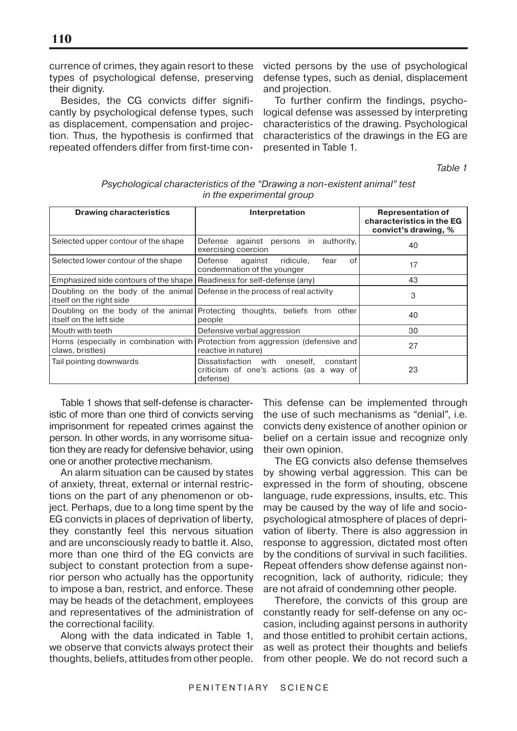currence of crimes, they again resort to these types of psychological defense, preserving their dignity.

Besides, the CG convicts differ significantly by psychological defense types, such as displacement, compensation and projection. Thus, the hypothesis is confirmed that repeated offenders differ from first-time convicted persons by the use of psychological defense types, such as denial, displacement and projection.

To further confirm the findings, psychological defense was assessed by interpreting characteristics of the drawing. Psychological characteristics of the drawings in the EG are presented in Table 1.

Table 1

| <b>Drawing characteristics</b>                                                                          | Interpretation                                                                                         | <b>Representation of</b><br>characteristics in the EG<br>convict's drawing, % |
|---------------------------------------------------------------------------------------------------------|--------------------------------------------------------------------------------------------------------|-------------------------------------------------------------------------------|
| Selected upper contour of the shape                                                                     | authority,<br>against persons in<br>Defense<br>exercising coercion                                     | 40                                                                            |
| Selected lower contour of the shape                                                                     | Defense<br>against<br>ridicule,<br>οf<br>fear<br>condemnation of the younger                           | 17                                                                            |
| Emphasized side contours of the shape   Readiness for self-defense (any)                                |                                                                                                        | 43                                                                            |
| Doubling on the body of the animal Defense in the process of real activity<br>litself on the right side |                                                                                                        | 3                                                                             |
| litself on the left side                                                                                | Doubling on the body of the animal Protecting thoughts, beliefs from other<br>people                   | 40                                                                            |
| Mouth with teeth                                                                                        | Defensive verbal aggression                                                                            | 30                                                                            |
| claws, bristles)                                                                                        | Horns (especially in combination with Protection from aggression (defensive and<br>reactive in nature) | 27                                                                            |
| Tail pointing downwards                                                                                 | Dissatisfaction with oneself,<br>constant<br>criticism of one's actions (as a way of<br>defense)       | 23                                                                            |

# Psychological characteristics of the "Drawing a non-existent animal" test in the experimental group

Table 1 shows that self-defense is characteristic of more than one third of convicts serving imprisonment for repeated crimes against the person. In other words, in any worrisome situation they are ready for defensive behavior, using one or another protective mechanism.

An alarm situation can be caused by states of anxiety, threat, external or internal restrictions on the part of any phenomenon or object. Perhaps, due to a long time spent by the EG convicts in places of deprivation of liberty, they constantly feel this nervous situation and are unconsciously ready to battle it. Also, more than one third of the EG convicts are subject to constant protection from a superior person who actually has the opportunity to impose a ban, restrict, and enforce. These may be heads of the detachment, employees and representatives of the administration of the correctional facility.

Along with the data indicated in Table 1, we observe that convicts always protect their thoughts, beliefs, attitudes from other people. This defense can be implemented through the use of such mechanisms as "denial", i.e. convicts deny existence of another opinion or belief on a certain issue and recognize only their own opinion.

The EG convicts also defense themselves by showing verbal aggression. This can be expressed in the form of shouting, obscene language, rude expressions, insults, etc. This may be caused by the way of life and sociopsychological atmosphere of places of deprivation of liberty. There is also aggression in response to aggression, dictated most often by the conditions of survival in such facilities. Repeat offenders show defense against nonrecognition, lack of authority, ridicule; they are not afraid of condemning other people.

Therefore, the convicts of this group are constantly ready for self-defense on any occasion, including against persons in authority and those entitled to prohibit certain actions, as well as protect their thoughts and beliefs from other people. We do not record such a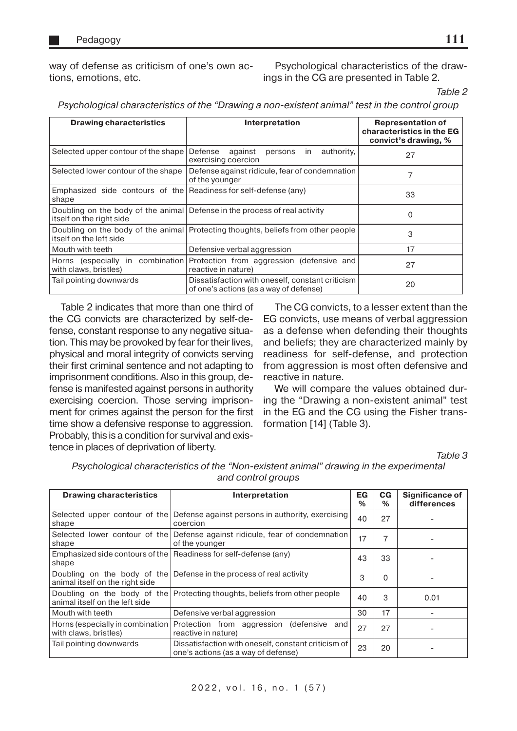way of defense as criticism of one's own actions, emotions, etc.

Psychological characteristics of the drawings in the CG are presented in Table 2.

Table 2

Psychological characteristics of the "Drawing a non-existent animal" test in the control group

| <b>Drawing characteristics</b>                                            | Interpretation                                                                             | <b>Representation of</b><br>characteristics in the EG<br>convict's drawing, % |  |
|---------------------------------------------------------------------------|--------------------------------------------------------------------------------------------|-------------------------------------------------------------------------------|--|
| Selected upper contour of the shape                                       | authority,<br>Defense<br>against<br>persons<br>in<br>exercising coercion                   | 27                                                                            |  |
| Selected lower contour of the shape                                       | Defense against ridicule, fear of condemnation<br>of the younger                           |                                                                               |  |
| Emphasized side contours of the Readiness for self-defense (any)<br>shape |                                                                                            | 33                                                                            |  |
| itself on the right side                                                  | Doubling on the body of the animal Defense in the process of real activity                 | O                                                                             |  |
| itself on the left side                                                   | Doubling on the body of the animal Protecting thoughts, beliefs from other people          | 3                                                                             |  |
| Mouth with teeth                                                          | Defensive verbal aggression                                                                | 17                                                                            |  |
| Horns (especially in combination)<br>with claws, bristles)                | Protection from aggression (defensive and<br>reactive in nature)                           | 27                                                                            |  |
| Tail pointing downwards                                                   | Dissatisfaction with oneself, constant criticism<br>of one's actions (as a way of defense) | 20                                                                            |  |

Table 2 indicates that more than one third of the CG convicts are characterized by self-defense, constant response to any negative situation. This may be provoked by fear for their lives, physical and moral integrity of convicts serving their first criminal sentence and not adapting to imprisonment conditions. Also in this group, defense is manifested against persons in authority exercising coercion. Those serving imprisonment for crimes against the person for the first time show a defensive response to aggression. Probably, this is a condition for survival and existence in places of deprivation of liberty.

The CG convicts, to a lesser extent than the EG convicts, use means of verbal aggression as a defense when defending their thoughts and beliefs; they are characterized mainly by readiness for self-defense, and protection from aggression is most often defensive and reactive in nature.

We will compare the values obtained during the "Drawing a non-existent animal" test in the EG and the CG using the Fisher transformation [14] (Table 3).

Table 3

| <b>Drawing characteristics</b>                             | Interpretation                                                                                 | EG<br>% | $_{\rm CG}$<br>$\%$ | <b>Significance of</b><br>differences |  |
|------------------------------------------------------------|------------------------------------------------------------------------------------------------|---------|---------------------|---------------------------------------|--|
| shape                                                      | Selected upper contour of the Defense against persons in authority, exercising<br>coercion     | 40      | 27                  |                                       |  |
| shape                                                      | Selected lower contour of the Defense against ridicule, fear of condemnation<br>of the younger | 17      | 7                   |                                       |  |
| shape                                                      | Emphasized side contours of the   Readiness for self-defense (any)                             | 43      | 33                  |                                       |  |
| animal itself on the right side                            | Doubling on the body of the Defense in the process of real activity                            | 3       | 0                   |                                       |  |
| animal itself on the left side                             | Doubling on the body of the Protecting thoughts, beliefs from other people                     | 40      | 3                   | 0.01                                  |  |
| Mouth with teeth                                           | Defensive verbal aggression                                                                    | 30      | 17                  |                                       |  |
| Horns (especially in combination)<br>with claws, bristles) | Protection from aggression (defensive and<br>reactive in nature)                               | 27      | 27                  |                                       |  |
| Tail pointing downwards                                    | Dissatisfaction with oneself, constant criticism of<br>one's actions (as a way of defense)     | 23      | 20                  |                                       |  |

Psychological characteristics of the "Non-existent animal" drawing in the experimental and control groups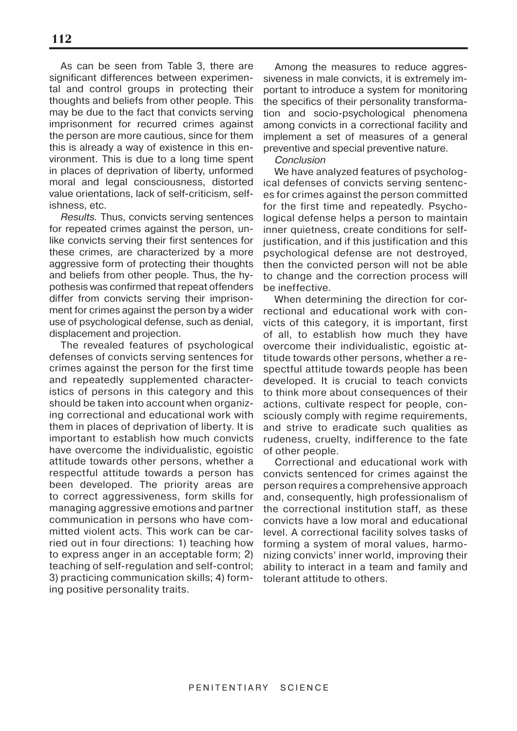As can be seen from Table 3, there are significant differences between experimental and control groups in protecting their thoughts and beliefs from other people. This may be due to the fact that convicts serving imprisonment for recurred crimes against the person are more cautious, since for them this is already a way of existence in this environment. This is due to a long time spent in places of deprivation of liberty, unformed moral and legal consciousness, distorted value orientations, lack of self-criticism, selfishness, etc.

Results. Thus, convicts serving sentences for repeated crimes against the person, unlike convicts serving their first sentences for these crimes, are characterized by a more aggressive form of protecting their thoughts and beliefs from other people. Thus, the hypothesis was confirmed that repeat offenders differ from convicts serving their imprisonment for crimes against the person by a wider use of psychological defense, such as denial, displacement and projection.

The revealed features of psychological defenses of convicts serving sentences for crimes against the person for the first time and repeatedly supplemented characteristics of persons in this category and this should be taken into account when organizing correctional and educational work with them in places of deprivation of liberty. It is important to establish how much convicts have overcome the individualistic, egoistic attitude towards other persons, whether a respectful attitude towards a person has been developed. The priority areas are to correct aggressiveness, form skills for managing aggressive emotions and partner communication in persons who have committed violent acts. This work can be carried out in four directions: 1) teaching how to express anger in an acceptable form; 2) teaching of self-regulation and self-control; 3) practicing communication skills; 4) forming positive personality traits.

Among the measures to reduce aggressiveness in male convicts, it is extremely important to introduce a system for monitoring the specifics of their personality transformation and socio-psychological phenomena among convicts in a correctional facility and implement a set of measures of a general preventive and special preventive nature.

### Conclusion

We have analyzed features of psychological defenses of convicts serving sentences for crimes against the person committed for the first time and repeatedly. Psychological defense helps a person to maintain inner quietness, create conditions for selfjustification, and if this justification and this psychological defense are not destroyed, then the convicted person will not be able to change and the correction process will be ineffective.

When determining the direction for correctional and educational work with convicts of this category, it is important, first of all, to establish how much they have overcome their individualistic, egoistic attitude towards other persons, whether a respectful attitude towards people has been developed. It is crucial to teach convicts to think more about consequences of their actions, cultivate respect for people, consciously comply with regime requirements, and strive to eradicate such qualities as rudeness, cruelty, indifference to the fate of other people.

Correctional and educational work with convicts sentenced for crimes against the person requires a comprehensive approach and, consequently, high professionalism of the correctional institution staff, as these convicts have a low moral and educational level. A correctional facility solves tasks of forming a system of moral values, harmonizing convicts' inner world, improving their ability to interact in a team and family and tolerant attitude to others.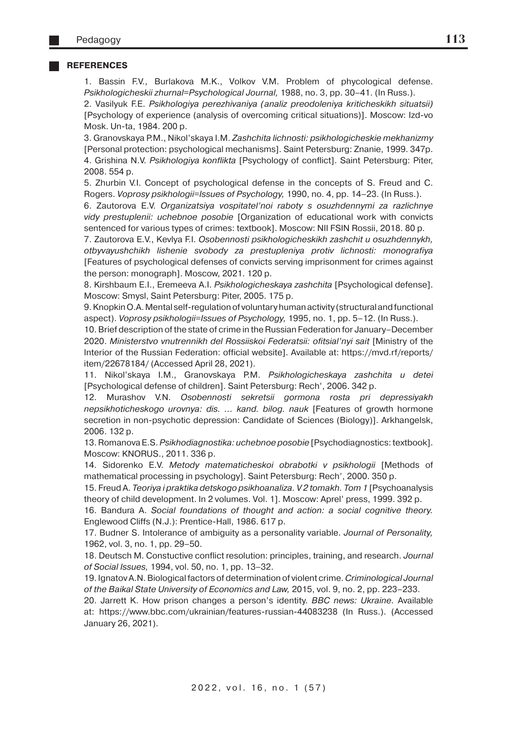#### **REFERENCES**

1. Bassin F.V., Burlakova M.K., Volkov V.M. Problem of phycological defense. Psikhologicheskii zhurnal=Psychological Journal, 1988, no. 3, pp. 30–41. (In Russ.).

2. Vasilyuk F.E. Psikhologiya perezhivaniya (analiz preodoleniya kriticheskikh situatsii) [Psychology of experience (analysis of overcoming critical situations)]. Moscow: Izd-vo Mosk. Un-ta, 1984. 200 p.

3. Granovskaya P.M., Nikol'skaya I.M. Zashchita lichnosti: psikhologicheskie mekhanizmy [Personal protection: psychological mechanisms]. Saint Petersburg: Znanie, 1999. 347p. 4. Grishina N.V. Psikhologiya konflikta [Psychology of conflict]. Saint Petersburg: Piter, 2008. 554 p.

5. Zhurbin V.I. Concept of psychological defense in the concepts of S. Freud and C. Rogers. Voprosy psikhologii=Issues of Psychology, 1990, no. 4, pp. 14–23. (In Russ.).

6. Zautorova E.V. Organizatsiya vospitatel'noi raboty s osuzhdennymi za razlichnye vidy prestuplenii: uchebnoe posobie [Organization of educational work with convicts sentenced for various types of crimes: textbook]. Moscow: NII FSIN Rossii, 2018. 80 p.

7. Zautorova E.V., Kevlya F.I. Osobennosti psikhologicheskikh zashchit u osuzhdennykh, otbyvayushchikh lishenie svobody za prestupleniya protiv lichnosti: monografiya [Features of psychological defenses of convicts serving imprisonment for crimes against the person: monograph]. Moscow, 2021. 120 p.

8. Kirshbaum E.I., Eremeeva A.I. Psikhologicheskaya zashchita [Psychological defense]. Moscow: Smysl, Saint Petersburg: Piter, 2005. 175 p.

9. Knopkin O.A. Mental self-regulation of voluntary human activity (structural and functional aspect). Voprosy psikhologii=Issues of Psychology, 1995, no. 1, pp. 5–12. (In Russ.).

10. Brief description of the state of crime in the Russian Federation for January–December 2020. Ministerstvo vnutrennikh del Rossiiskoi Federatsii: ofitsial'nyi sait [Ministry of the Interior of the Russian Federation: official website]. Available at: https://mvd.rf/reports/ item/22678184/ (Accessed April 28, 2021).

11. Nikol'skaya I.M., Granovskaya P.M. Psikhologicheskaya zashchita u detei [Psychological defense of children]. Saint Petersburg: Rech', 2006. 342 p.

12. Murashov V.N. Osobennosti sekretsii gormona rosta pri depressiyakh nepsikhoticheskogo urovnya: dis. ... kand. bilog. nauk [Features of growth hormone secretion in non-psychotic depression: Candidate of Sciences (Biology)]. Arkhangelsk, 2006. 132 p.

13. Romanova E.S. Psikhodiagnostika: uchebnoe posobie [Psychodiagnostics: textbook]. Moscow: KNORUS., 2011. 336 p.

14. Sidorenko E.V. Metody matematicheskoi obrabotki v psikhologii [Methods of mathematical processing in psychology]. Saint Petersburg: Rech', 2000. 350 p.

15. Freud A. Teoriya i praktika detskogo psikhoanaliza. V 2 tomakh. Tom 1 [Psychoanalysis theory of child development. In 2 volumes. Vol. 1]. Moscow: Aprel' press, 1999. 392 p.

16. Bandura A. Social foundations of thought and action: a social cognitive theory. Englewood Cliffs (N.J.): Prentice-Hall, 1986. 617 p.

17. Budner S. Intolerance of ambiguity as a personality variable. Journal of Personality, 1962, vol. 3, no. 1, pp. 29–50.

18. Deutsch M. Constuctive conflict resolution: principles, training, and research. Journal of Social Issues, 1994, vol. 50, no. 1, pp. 13–32.

19. Ignatov A.N. Biological factors of determination of violent crime. Criminological Journal of the Baikal State University of Economics and Law, 2015, vol. 9, no. 2, pp. 223–233.

20. Jarrett K. How prison changes a person's identity. BBC news: Ukraine. Available at: https://www.bbc.com/ukrainian/features-russian-44083238 (In Russ.). (Accessed January 26, 2021).